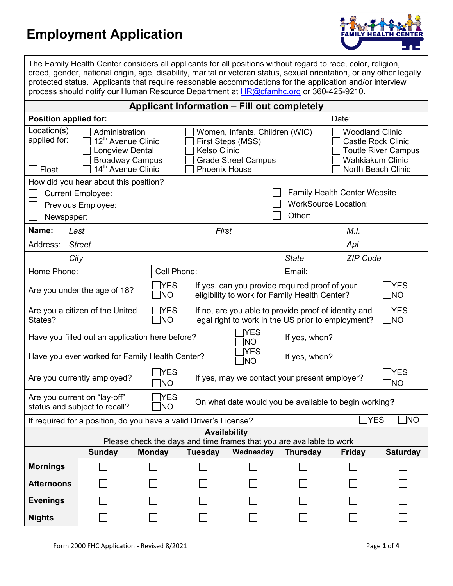## **Employment Application**



The Family Health Center considers all applicants for all positions without regard to race, color, religion, creed, gender, national origin, age, disability, marital or veteran status, sexual orientation, or any other legally protected status. Applicants that require reasonable accommodations for the application and/or interview process should notify our Human Resource Department at **HR@cfamhc.org** or 360-425-9210.

| <b>Applicant Information - Fill out completely</b>                                                                                                                             |        |                   |                |                                                                                                                                  |                 |                 |                                                                                                                                    |  |
|--------------------------------------------------------------------------------------------------------------------------------------------------------------------------------|--------|-------------------|----------------|----------------------------------------------------------------------------------------------------------------------------------|-----------------|-----------------|------------------------------------------------------------------------------------------------------------------------------------|--|
| <b>Position applied for:</b>                                                                                                                                                   |        |                   |                |                                                                                                                                  |                 | Date:           |                                                                                                                                    |  |
| Location(s)<br>Administration<br>applied for:<br>12 <sup>th</sup> Avenue Clinic<br><b>Longview Dental</b><br><b>Broadway Campus</b><br>14 <sup>th</sup> Avenue Clinic<br>Float |        |                   |                | Women, Infants, Children (WIC)<br>First Steps (MSS)<br><b>Kelso Clinic</b><br><b>Grade Street Campus</b><br><b>Phoenix House</b> |                 |                 | <b>Woodland Clinic</b><br><b>Castle Rock Clinic</b><br><b>Toutle River Campus</b><br><b>Wahkiakum Clinic</b><br>North Beach Clinic |  |
| How did you hear about this position?                                                                                                                                          |        |                   |                |                                                                                                                                  |                 |                 |                                                                                                                                    |  |
| <b>Current Employee:</b>                                                                                                                                                       |        |                   |                | <b>Family Health Center Website</b>                                                                                              |                 |                 |                                                                                                                                    |  |
| Previous Employee:                                                                                                                                                             |        |                   |                | <b>WorkSource Location:</b>                                                                                                      |                 |                 |                                                                                                                                    |  |
| Other:<br>Newspaper:                                                                                                                                                           |        |                   |                |                                                                                                                                  |                 |                 |                                                                                                                                    |  |
| Name:<br>First<br>M.I.<br>Last                                                                                                                                                 |        |                   |                |                                                                                                                                  |                 |                 |                                                                                                                                    |  |
| Address:<br><b>Street</b><br>Apt                                                                                                                                               |        |                   |                |                                                                                                                                  |                 |                 |                                                                                                                                    |  |
| City                                                                                                                                                                           |        |                   |                |                                                                                                                                  | <b>State</b>    | <b>ZIP Code</b> |                                                                                                                                    |  |
| Home Phone:                                                                                                                                                                    |        | Cell Phone:       |                |                                                                                                                                  | Email:          |                 |                                                                                                                                    |  |
| <b>YES</b><br>If yes, can you provide required proof of your<br><b>YES</b><br>Are you under the age of 18?<br>Ino<br>eligibility to work for Family Health Center?<br>]NO      |        |                   |                |                                                                                                                                  |                 |                 |                                                                                                                                    |  |
| Are you a citizen of the United<br>TYES<br>∏NO<br>States?                                                                                                                      |        |                   |                | ⅂YES<br>If no, are you able to provide proof of identity and<br>$\Box$ NO<br>legal right to work in the US prior to employment?  |                 |                 |                                                                                                                                    |  |
| Have you filled out an application here before?                                                                                                                                |        | <b>YES</b><br>NO. | If yes, when?  |                                                                                                                                  |                 |                 |                                                                                                                                    |  |
| <b>YES</b><br>Have you ever worked for Family Health Center?<br>If yes, when?<br>NO.                                                                                           |        |                   |                |                                                                                                                                  |                 |                 |                                                                                                                                    |  |
| <b>YES</b><br>Are you currently employed?<br>NO.                                                                                                                               |        |                   |                | YES<br>If yes, may we contact your present employer?<br>]NO                                                                      |                 |                 |                                                                                                                                    |  |
| <b>YES</b><br>Are you current on "lay-off"<br>status and subject to recall?<br>$\neg$ NO                                                                                       |        |                   |                | On what date would you be available to begin working?                                                                            |                 |                 |                                                                                                                                    |  |
| YES]<br>` NO<br>If required for a position, do you have a valid Driver's License?                                                                                              |        |                   |                |                                                                                                                                  |                 |                 |                                                                                                                                    |  |
| <b>Availability</b><br>Please check the days and time frames that you are available to work                                                                                    |        |                   |                |                                                                                                                                  |                 |                 |                                                                                                                                    |  |
|                                                                                                                                                                                | Sunday | <b>Monday</b>     | <b>Tuesday</b> | Wednesday                                                                                                                        | <b>Thursday</b> | <b>Friday</b>   | <b>Saturday</b>                                                                                                                    |  |
| <b>Mornings</b>                                                                                                                                                                |        |                   |                |                                                                                                                                  |                 |                 |                                                                                                                                    |  |
| <b>Afternoons</b>                                                                                                                                                              |        |                   |                |                                                                                                                                  |                 |                 |                                                                                                                                    |  |
| <b>Evenings</b>                                                                                                                                                                |        |                   |                |                                                                                                                                  |                 |                 |                                                                                                                                    |  |
| <b>Nights</b>                                                                                                                                                                  |        |                   |                |                                                                                                                                  |                 |                 |                                                                                                                                    |  |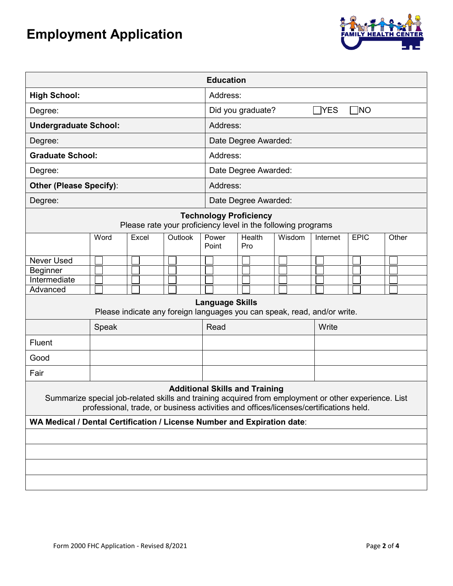## **Employment Application**



| <b>Education</b>                                                                                                                                                                                                                       |       |       |         |                |                                              |        |          |             |       |  |
|----------------------------------------------------------------------------------------------------------------------------------------------------------------------------------------------------------------------------------------|-------|-------|---------|----------------|----------------------------------------------|--------|----------|-------------|-------|--|
| <b>High School:</b>                                                                                                                                                                                                                    |       |       |         |                | Address:                                     |        |          |             |       |  |
| Degree:                                                                                                                                                                                                                                |       |       |         |                | $\Box$ NO<br>Did you graduate?<br>$\neg$ YES |        |          |             |       |  |
| <b>Undergraduate School:</b>                                                                                                                                                                                                           |       |       |         |                | Address:                                     |        |          |             |       |  |
| Degree:                                                                                                                                                                                                                                |       |       |         |                | Date Degree Awarded:                         |        |          |             |       |  |
| <b>Graduate School:</b>                                                                                                                                                                                                                |       |       |         |                | Address:                                     |        |          |             |       |  |
| Degree:                                                                                                                                                                                                                                |       |       |         |                | Date Degree Awarded:                         |        |          |             |       |  |
| <b>Other (Please Specify):</b>                                                                                                                                                                                                         |       |       |         |                | Address:                                     |        |          |             |       |  |
| Degree:                                                                                                                                                                                                                                |       |       |         |                | Date Degree Awarded:                         |        |          |             |       |  |
| <b>Technology Proficiency</b><br>Please rate your proficiency level in the following programs                                                                                                                                          |       |       |         |                |                                              |        |          |             |       |  |
|                                                                                                                                                                                                                                        | Word  | Excel | Outlook | Power<br>Point | Health<br>Pro                                | Wisdom | Internet | <b>EPIC</b> | Other |  |
| <b>Never Used</b>                                                                                                                                                                                                                      |       |       |         |                |                                              |        |          |             |       |  |
| <b>Beginner</b>                                                                                                                                                                                                                        |       |       |         |                |                                              |        |          |             |       |  |
| Intermediate<br>Advanced                                                                                                                                                                                                               |       |       |         |                |                                              |        |          |             |       |  |
| <b>Language Skills</b><br>Please indicate any foreign languages you can speak, read, and/or write.                                                                                                                                     |       |       |         |                |                                              |        |          |             |       |  |
|                                                                                                                                                                                                                                        | Speak |       |         | Read           |                                              |        | Write    |             |       |  |
| Fluent                                                                                                                                                                                                                                 |       |       |         |                |                                              |        |          |             |       |  |
| Good                                                                                                                                                                                                                                   |       |       |         |                |                                              |        |          |             |       |  |
| Fair                                                                                                                                                                                                                                   |       |       |         |                |                                              |        |          |             |       |  |
| <b>Additional Skills and Training</b><br>Summarize special job-related skills and training acquired from employment or other experience. List<br>professional, trade, or business activities and offices/licenses/certifications held. |       |       |         |                |                                              |        |          |             |       |  |
| WA Medical / Dental Certification / License Number and Expiration date:                                                                                                                                                                |       |       |         |                |                                              |        |          |             |       |  |
|                                                                                                                                                                                                                                        |       |       |         |                |                                              |        |          |             |       |  |
|                                                                                                                                                                                                                                        |       |       |         |                |                                              |        |          |             |       |  |
|                                                                                                                                                                                                                                        |       |       |         |                |                                              |        |          |             |       |  |
|                                                                                                                                                                                                                                        |       |       |         |                |                                              |        |          |             |       |  |
|                                                                                                                                                                                                                                        |       |       |         |                |                                              |        |          |             |       |  |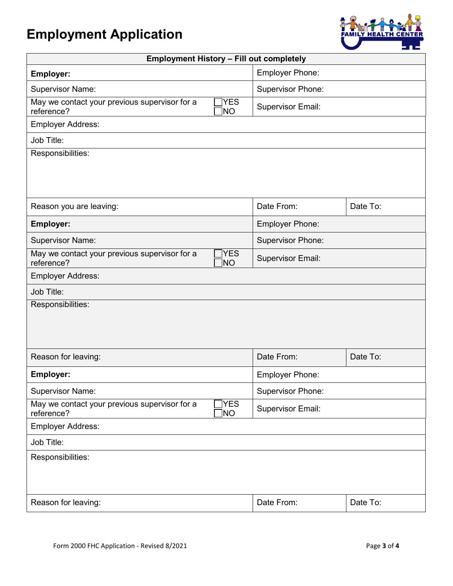## **Employment Application**



| <b>Employment History - Fill out completely</b>                                  |                          |          |  |  |  |  |
|----------------------------------------------------------------------------------|--------------------------|----------|--|--|--|--|
| <b>Employer:</b>                                                                 | Employer Phone:          |          |  |  |  |  |
| <b>Supervisor Name:</b>                                                          | <b>Supervisor Phone:</b> |          |  |  |  |  |
| <b>YES</b><br>May we contact your previous supervisor for a<br>reference?<br>NO) | Supervisor Email:        |          |  |  |  |  |
| <b>Employer Address:</b>                                                         |                          |          |  |  |  |  |
| Job Title:                                                                       |                          |          |  |  |  |  |
| Responsibilities:                                                                |                          |          |  |  |  |  |
| Reason you are leaving:                                                          | Date From:               | Date To: |  |  |  |  |
| Employer:                                                                        | Employer Phone:          |          |  |  |  |  |
| <b>Supervisor Name:</b>                                                          | <b>Supervisor Phone:</b> |          |  |  |  |  |
| YES]<br>May we contact your previous supervisor for a<br>reference?<br>MO]       | <b>Supervisor Email:</b> |          |  |  |  |  |
| <b>Employer Address:</b>                                                         |                          |          |  |  |  |  |
| Job Title:                                                                       |                          |          |  |  |  |  |
| Responsibilities:                                                                |                          |          |  |  |  |  |
| Reason for leaving:                                                              | Date From:               | Date To: |  |  |  |  |
| Employer:                                                                        | Employer Phone:          |          |  |  |  |  |
| <b>Supervisor Name:</b>                                                          | <b>Supervisor Phone:</b> |          |  |  |  |  |
| May we contact your previous supervisor for a<br><b>YES</b><br>reference?<br>NO] | <b>Supervisor Email:</b> |          |  |  |  |  |
| <b>Employer Address:</b>                                                         |                          |          |  |  |  |  |
| Job Title:                                                                       |                          |          |  |  |  |  |
| Responsibilities:                                                                |                          |          |  |  |  |  |
| Reason for leaving:                                                              | Date From:               | Date To: |  |  |  |  |